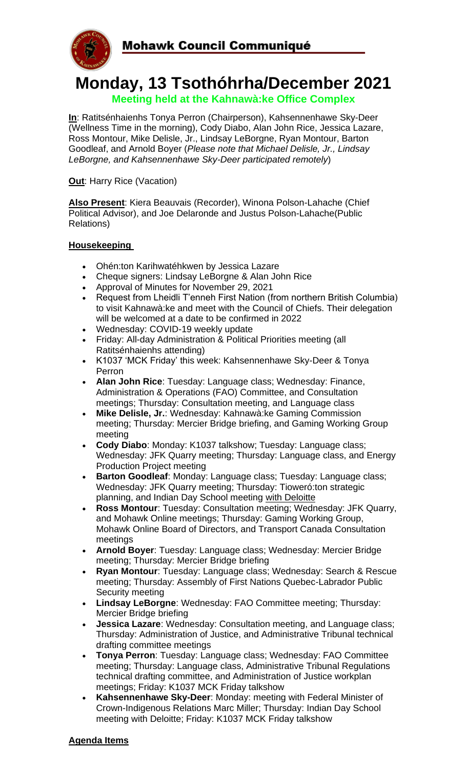

# **Monday, 13 Tsothóhrha/December 2021 Meeting held at the Kahnawà:ke Office Complex**

**In**: Ratitsénhaienhs Tonya Perron (Chairperson), Kahsennenhawe Sky-Deer (Wellness Time in the morning), Cody Diabo, Alan John Rice, Jessica Lazare, Ross Montour, Mike Delisle, Jr., Lindsay LeBorgne, Ryan Montour, Barton Goodleaf, and Arnold Boyer (*Please note that Michael Delisle, Jr., Lindsay LeBorgne, and Kahsennenhawe Sky-Deer participated remotely*)

**Out:** Harry Rice (Vacation)

**Also Present**: Kiera Beauvais (Recorder), Winona Polson-Lahache (Chief Political Advisor), and Joe Delaronde and Justus Polson-Lahache(Public Relations)

## **Housekeeping**

- Ohén:ton Karihwatéhkwen by Jessica Lazare
- Cheque signers: Lindsay LeBorgne & Alan John Rice
- Approval of Minutes for November 29, 2021
- Request from Lheidli T'enneh First Nation (from northern British Columbia) to visit Kahnawà:ke and meet with the Council of Chiefs. Their delegation will be welcomed at a date to be confirmed in 2022
- Wednesday: COVID-19 weekly update
- Friday: All-day Administration & Political Priorities meeting (all Ratitsénhaienhs attending)
- K1037 'MCK Friday' this week: Kahsennenhawe Sky-Deer & Tonya Perron
- **Alan John Rice**: Tuesday: Language class; Wednesday: Finance, Administration & Operations (FAO) Committee, and Consultation meetings; Thursday: Consultation meeting, and Language class
- **Mike Delisle, Jr.**: Wednesday: Kahnawà:ke Gaming Commission meeting; Thursday: Mercier Bridge briefing, and Gaming Working Group meeting
- **Cody Diabo**: Monday: K1037 talkshow; Tuesday: Language class; Wednesday: JFK Quarry meeting; Thursday: Language class, and Energy Production Project meeting
- **Barton Goodleaf**: Monday: Language class; Tuesday: Language class; Wednesday: JFK Quarry meeting; Thursday: Tioweró:ton strategic planning, and Indian Day School meeting with Deloitte
- **Ross Montour**: Tuesday: Consultation meeting; Wednesday: JFK Quarry, and Mohawk Online meetings; Thursday: Gaming Working Group, Mohawk Online Board of Directors, and Transport Canada Consultation meetings
- **Arnold Boyer**: Tuesday: Language class; Wednesday: Mercier Bridge meeting; Thursday: Mercier Bridge briefing
- **Ryan Montour**: Tuesday: Language class; Wednesday: Search & Rescue meeting; Thursday: Assembly of First Nations Quebec-Labrador Public Security meeting
- **Lindsay LeBorgne**: Wednesday: FAO Committee meeting; Thursday: Mercier Bridge briefing
- **Jessica Lazare**: Wednesday: Consultation meeting, and Language class; Thursday: Administration of Justice, and Administrative Tribunal technical drafting committee meetings
- **Tonya Perron**: Tuesday: Language class; Wednesday: FAO Committee meeting; Thursday: Language class, Administrative Tribunal Regulations technical drafting committee, and Administration of Justice workplan meetings; Friday: K1037 MCK Friday talkshow
- **Kahsennenhawe Sky-Deer**: Monday: meeting with Federal Minister of Crown-Indigenous Relations Marc Miller; Thursday: Indian Day School meeting with Deloitte; Friday: K1037 MCK Friday talkshow

#### **Agenda Items**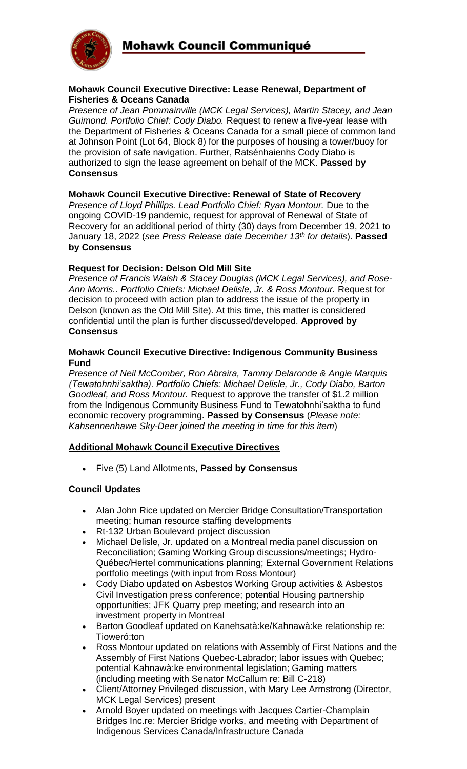

#### **Mohawk Council Executive Directive: Lease Renewal, Department of Fisheries & Oceans Canada**

*Presence of Jean Pommainville (MCK Legal Services), Martin Stacey, and Jean Guimond. Portfolio Chief: Cody Diabo.* Request to renew a five-year lease with the Department of Fisheries & Oceans Canada for a small piece of common land at Johnson Point (Lot 64, Block 8) for the purposes of housing a tower/buoy for the provision of safe navigation. Further, Ratsénhaienhs Cody Diabo is authorized to sign the lease agreement on behalf of the MCK. **Passed by Consensus**

### **Mohawk Council Executive Directive: Renewal of State of Recovery**

*Presence of Lloyd Phillips. Lead Portfolio Chief: Ryan Montour.* Due to the ongoing COVID-19 pandemic, request for approval of Renewal of State of Recovery for an additional period of thirty (30) days from December 19, 2021 to January 18, 2022 (*see Press Release date December 13th for details*). **Passed by Consensus**

### **Request for Decision: Delson Old Mill Site**

*Presence of Francis Walsh & Stacey Douglas (MCK Legal Services), and Rose-Ann Morris.. Portfolio Chiefs: Michael Delisle, Jr. & Ross Montour.* Request for decision to proceed with action plan to address the issue of the property in Delson (known as the Old Mill Site). At this time, this matter is considered confidential until the plan is further discussed/developed. **Approved by Consensus**

#### **Mohawk Council Executive Directive: Indigenous Community Business Fund**

*Presence of Neil McComber, Ron Abraira, Tammy Delaronde & Angie Marquis (Tewatohnhi'saktha). Portfolio Chiefs: Michael Delisle, Jr., Cody Diabo, Barton Goodleaf, and Ross Montour.* Request to approve the transfer of \$1.2 million from the Indigenous Community Business Fund to Tewatohnhi'saktha to fund economic recovery programming. **Passed by Consensus** (*Please note: Kahsennenhawe Sky-Deer joined the meeting in time for this item*)

### **Additional Mohawk Council Executive Directives**

• Five (5) Land Allotments, **Passed by Consensus**

## **Council Updates**

- Alan John Rice updated on Mercier Bridge Consultation/Transportation meeting; human resource staffing developments
- Rt-132 Urban Boulevard project discussion
- Michael Delisle, Jr. updated on a Montreal media panel discussion on Reconciliation; Gaming Working Group discussions/meetings; Hydro-Québec/Hertel communications planning; External Government Relations portfolio meetings (with input from Ross Montour)
- Cody Diabo updated on Asbestos Working Group activities & Asbestos Civil Investigation press conference; potential Housing partnership opportunities; JFK Quarry prep meeting; and research into an investment property in Montreal
- Barton Goodleaf updated on Kanehsatà:ke/Kahnawà:ke relationship re: Tioweró:ton
- Ross Montour updated on relations with Assembly of First Nations and the Assembly of First Nations Quebec-Labrador; labor issues with Quebec; potential Kahnawà:ke environmental legislation; Gaming matters (including meeting with Senator McCallum re: Bill C-218)
- Client/Attorney Privileged discussion, with Mary Lee Armstrong (Director, MCK Legal Services) present
- Arnold Boyer updated on meetings with Jacques Cartier-Champlain Bridges Inc.re: Mercier Bridge works, and meeting with Department of Indigenous Services Canada/Infrastructure Canada